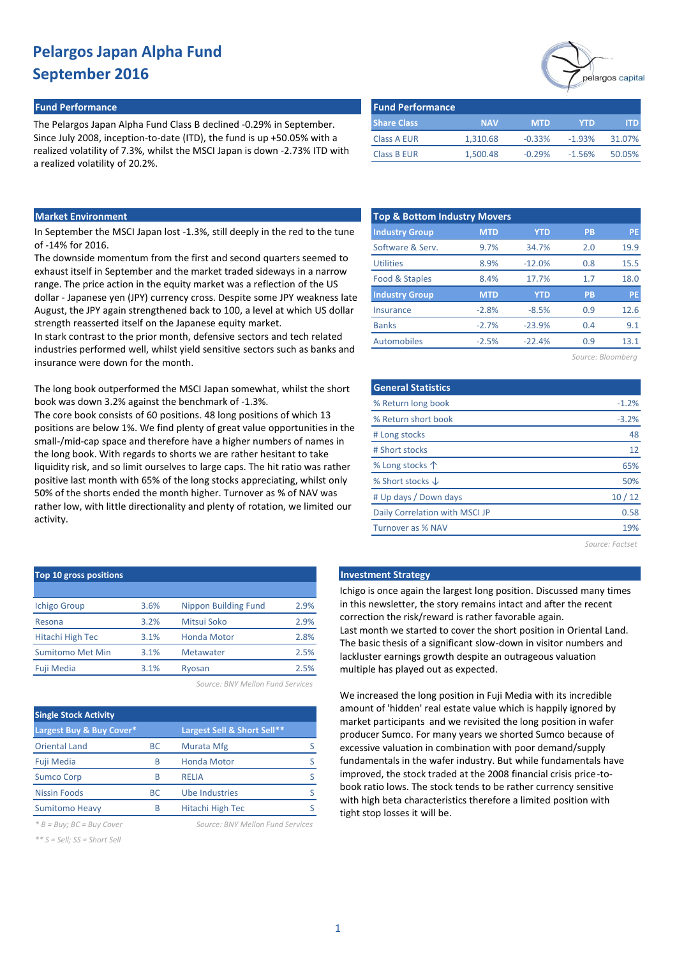#### **Fund Performance Fund Performance**

The Pelargos Japan Alpha Fund Class B declined -0.29% in September. Since July 2008, inception-to-date (ITD), the fund is up +50.05% with a realized volatility of 7.3%, whilst the MSCI Japan is down -2.73% ITD with a realized volatility of 20.2%.

| pelargos capita |
|-----------------|
|                 |

| l Fund Performance |            |            |            |        |
|--------------------|------------|------------|------------|--------|
| <b>Share Class</b> | <b>NAV</b> | <b>MTD</b> | <b>YTD</b> | ITD.   |
| <b>Class A EUR</b> | 1,310.68   | $-0.33%$   | $-1.93%$   | 31.07% |
| <b>Class B EUR</b> | 1.500.48   | $-0.29%$   | $-1.56%$   | 50.05% |

### **Market Environment**

In September the MSCI Japan lost -1.3%, still deeply in the red to the tune of -14% for 2016.

The downside momentum from the first and second quarters seemed to exhaust itself in September and the market traded sideways in a narrow range. The price action in the equity market was a reflection of the US dollar - Japanese yen (JPY) currency cross. Despite some JPY weakness late August, the JPY again strengthened back to 100, a level at which US dollar strength reasserted itself on the Japanese equity market.

In stark contrast to the prior month, defensive sectors and tech related industries performed well, whilst yield sensitive sectors such as banks and insurance were down for the month.

The long book outperformed the MSCI Japan somewhat, whilst the short book was down 3.2% against the benchmark of -1.3%.

The core book consists of 60 positions. 48 long positions of which 13 positions are below 1%. We find plenty of great value opportunities in the small-/mid-cap space and therefore have a higher numbers of names in the long book. With regards to shorts we are rather hesitant to take liquidity risk, and so limit ourselves to large caps. The hit ratio was rather positive last month with 65% of the long stocks appreciating, whilst only 50% of the shorts ended the month higher. Turnover as % of NAV was rather low, with little directionality and plenty of rotation, we limited our activity.

| <b>Top &amp; Bottom Industry Movers</b> |            |            |           |           |  |  |
|-----------------------------------------|------------|------------|-----------|-----------|--|--|
| <b>Industry Group</b>                   | <b>MTD</b> | <b>YTD</b> | <b>PB</b> | <b>PE</b> |  |  |
| Software & Serv.                        | 9.7%       | 34.7%      | 2.0       | 19.9      |  |  |
| <b>Utilities</b>                        | 8.9%       | $-12.0%$   | 0.8       | 15.5      |  |  |
| Food & Staples                          | 8.4%       | 17.7%      | 1.7       | 18.0      |  |  |
| <b>Industry Group</b>                   | <b>MTD</b> | <b>YTD</b> | <b>PB</b> | <b>PE</b> |  |  |
| Insurance                               | $-2.8%$    | $-8.5%$    | 0.9       | 12.6      |  |  |
| <b>Banks</b>                            | $-2.7%$    | $-23.9%$   | 0.4       | 9.1       |  |  |
| Automobiles                             | $-2.5%$    | $-22.4%$   | 0.9       | 13.1      |  |  |
|                                         |            |            |           |           |  |  |

| Source: Bloomberg |  |  |  |
|-------------------|--|--|--|
|-------------------|--|--|--|

| <b>General Statistics</b>      |         |
|--------------------------------|---------|
| % Return long book             | $-1.2%$ |
| % Return short book            | $-3.2%$ |
| # Long stocks                  | 48      |
| # Short stocks                 | 12      |
| % Long stocks 个                | 65%     |
| % Short stocks $\downarrow$    | 50%     |
| # Up days / Down days          | 10/12   |
| Daily Correlation with MSCI JP | 0.58    |
| Turnover as % NAV              | 19%     |
|                                |         |

*Source: Factset*

| <b>Investment Strateg</b> |  |  |  |
|---------------------------|--|--|--|
|                           |  |  |  |

Ichigo is once again the largest long position. Discussed many times in this newsletter, the story remains intact and after the recent correction the risk/reward is rather favorable again. Last month we started to cover the short position in Oriental Land. The basic thesis of a significant slow-down in visitor numbers and lackluster earnings growth despite an outrageous valuation multiple has played out as expected.

We increased the long position in Fuji Media with its incredible amount of 'hidden' real estate value which is happily ignored by market participants and we revisited the long position in wafer producer Sumco. For many years we shorted Sumco because of excessive valuation in combination with poor demand/supply fundamentals in the wafer industry. But while fundamentals have improved, the stock traded at the 2008 financial crisis price-tobook ratio lows. The stock tends to be rather currency sensitive with high beta characteristics therefore a limited position with tight stop losses it will be.

| Top 10 gross positions  |      |                             |      |
|-------------------------|------|-----------------------------|------|
|                         |      |                             |      |
| <b>Ichigo Group</b>     | 3.6% | <b>Nippon Building Fund</b> | 2.9% |
| Resona                  | 3.2% | Mitsui Soko                 | 2.9% |
| <b>Hitachi High Tec</b> | 3.1% | <b>Honda Motor</b>          | 2.8% |
| <b>Sumitomo Met Min</b> | 3.1% | <b>Metawater</b>            | 2.5% |
| Fuji Media              | 3.1% | Ryosan                      | 2.5% |
|                         |      |                             |      |

*Source: BNY Mellon Fund Services*

| <b>Single Stock Activity</b> |           |                             |   |  |
|------------------------------|-----------|-----------------------------|---|--|
| Largest Buy & Buy Cover*     |           | Largest Sell & Short Sell** |   |  |
| <b>Oriental Land</b>         | BС        | Murata Mfg                  |   |  |
| <b>Fuji Media</b>            | B         | <b>Honda Motor</b>          | S |  |
| <b>Sumco Corp</b>            | R         | <b>RELIA</b>                |   |  |
| <b>Nissin Foods</b>          | <b>BC</b> | <b>Ube Industries</b>       | S |  |
| <b>Sumitomo Heavy</b>        | B         | Hitachi High Tec            |   |  |

*\* B = Buy; BC = Buy Cover Source: BNY Mellon Fund Services*

*\*\* S = Sell; SS = Short Sell*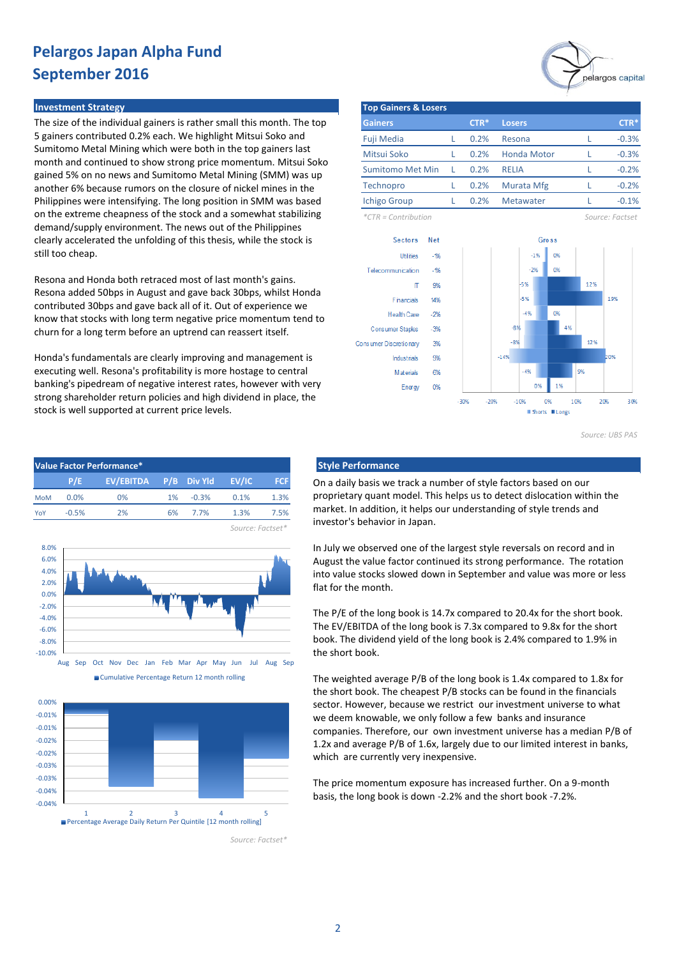#### **Investment Strategy**

The size of the individual gainers is rather small this month. The top 5 gainers contributed 0.2% each. We highlight Mitsui Soko and Sumitomo Metal Mining which were both in the top gainers last month and continued to show strong price momentum. Mitsui Soko gained 5% on no news and Sumitomo Metal Mining (SMM) was up another 6% because rumors on the closure of nickel mines in the Philippines were intensifying. The long position in SMM was based on the extreme cheapness of the stock and a somewhat stabilizing demand/supply environment. The news out of the Philippines clearly accelerated the unfolding of this thesis, while the stock is still too cheap.

Resona and Honda both retraced most of last month's gains. Resona added 50bps in August and gave back 30bps, whilst Honda contributed 30bps and gave back all of it. Out of experience we know that stocks with long term negative price momentum tend to churn for a long term before an uptrend can reassert itself.

Honda's fundamentals are clearly improving and management is executing well. Resona's profitability is more hostage to central banking's pipedream of negative interest rates, however with very strong shareholder return policies and high dividend in place, the stock is well supported at current price levels.

| Value Factor Performance* |         |                       |       |          |                  |            |
|---------------------------|---------|-----------------------|-------|----------|------------------|------------|
|                           | P/E     | EV/EBITDA P/B Div Yld |       |          | EV/IC            | <b>FCF</b> |
| <b>MoM</b>                | 0.0%    | $0\%$                 | $1\%$ | $-0.3\%$ | 0.1%             | 1.3%       |
| YoY                       | $-0.5%$ | 2%                    |       | 6% 7.7%  | 1.3%             | 7.5%       |
|                           |         |                       |       |          | Source: Factset* |            |







*Source: Factset\**



| <b>Top Gainers &amp; Losers</b> |    |        |                    |  |         |  |
|---------------------------------|----|--------|--------------------|--|---------|--|
| <b>Gainers</b>                  |    | $CTR*$ | <b>Losers</b>      |  | $CTR*$  |  |
| <b>Fuji Media</b>               |    | 0.2%   | Resona             |  | $-0.3%$ |  |
| Mitsui Soko                     |    | 0.2%   | <b>Honda Motor</b> |  | $-0.3%$ |  |
| <b>Sumitomo Met Min</b>         | T. | 0.2%   | <b>RELIA</b>       |  | $-0.2%$ |  |
| Technopro                       |    | 0.2%   | Murata Mfg         |  | $-0.2%$ |  |
| <b>Ichigo Group</b>             |    | 0.2%   | <b>Metawater</b>   |  | $-0.1%$ |  |

*\*CTR = Contribution Source: Factset*



*Source: UBS PAS*

#### **Style Performance**

On a daily basis we track a number of style factors based on our proprietary quant model. This helps us to detect dislocation within the market. In addition, it helps our understanding of style trends and investor's behavior in Japan.

In July we observed one of the largest style reversals on record and in August the value factor continued its strong performance. The rotation into value stocks slowed down in September and value was more or less flat for the month.

The P/E of the long book is 14.7x compared to 20.4x for the short book. The EV/EBITDA of the long book is 7.3x compared to 9.8x for the short book. The dividend yield of the long book is 2.4% compared to 1.9% in the short book.

The weighted average P/B of the long book is 1.4x compared to 1.8x for the short book. The cheapest P/B stocks can be found in the financials sector. However, because we restrict our investment universe to what we deem knowable, we only follow a few banks and insurance companies. Therefore, our own investment universe has a median P/B of 1.2x and average P/B of 1.6x, largely due to our limited interest in banks, which are currently very inexpensive.

The price momentum exposure has increased further. On a 9-month basis, the long book is down -2.2% and the short book -7.2%.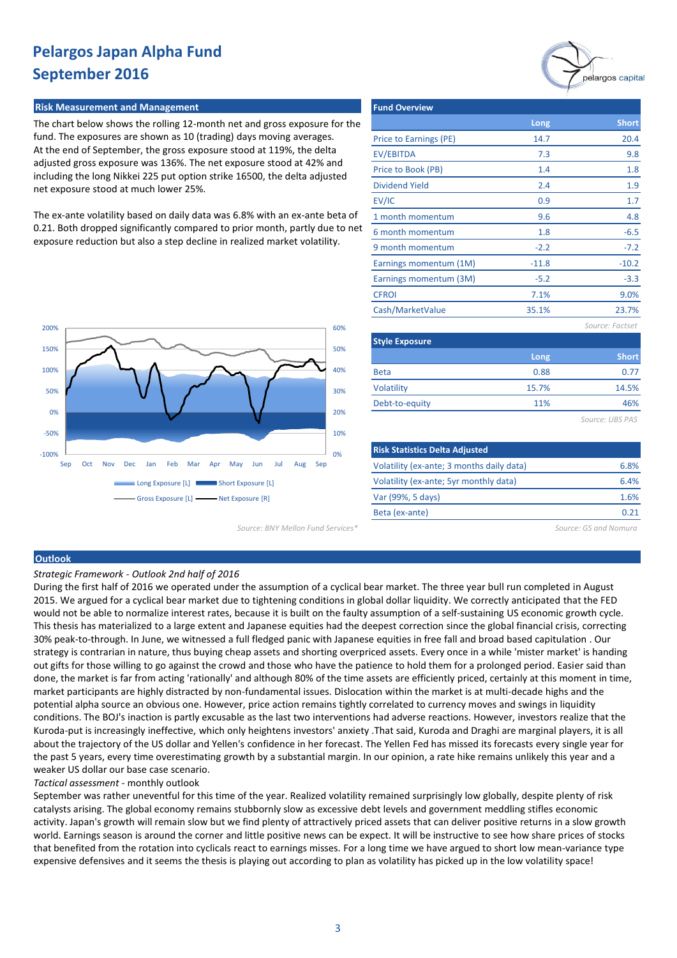#### **Risk Measurement and Management**

The chart below shows the rolling 12-month net and gross exposure for the fund. The exposures are shown as 10 (trading) days moving averages. At the end of September, the gross exposure stood at 119%, the delta adjusted gross exposure was 136%. The net exposure stood at 42% and including the long Nikkei 225 put option strike 16500, the delta adjusted net exposure stood at much lower 25%.

The ex-ante volatility based on daily data was 6.8% with an ex-ante beta of 0.21. Both dropped significantly compared to prior month, partly due to net exposure reduction but also a step decline in realized market volatility.



| Long    | <b>Short</b>    |
|---------|-----------------|
| 14.7    | 20.4            |
| 7.3     | 9.8             |
| 1.4     | 1.8             |
| 2.4     | 1.9             |
| 0.9     | 1.7             |
| 9.6     | 4.8             |
| 1.8     | $-6.5$          |
| $-2.2$  | $-7.2$          |
| $-11.8$ | $-10.2$         |
| $-5.2$  | $-3.3$          |
| 7.1%    | 9.0%            |
| 35.1%   | 23.7%           |
|         | Source: Factset |
|         |                 |
| Long    | <b>Short</b>    |
| 0.88    | 0.77            |
| 15.7%   | 14.5%           |
|         |                 |

*Source: UBS PAS*

46%

| <b>Risk Statistics Delta Adjusted</b>     |      |
|-------------------------------------------|------|
| Volatility (ex-ante; 3 months daily data) | 6.8% |
| Volatility (ex-ante; 5yr monthly data)    | 6.4% |
| Var (99%, 5 days)                         | 1.6% |
| Beta (ex-ante)                            | በ ን1 |
|                                           |      |

11%

Debt-to-equity

*Source: BNY Mellon Fund Services\* Source: GS and Nomura*

#### **Outlook**

*Strategic Framework - Outlook 2nd half of 2016*

During the first half of 2016 we operated under the assumption of a cyclical bear market. The three year bull run completed in August 2015. We argued for a cyclical bear market due to tightening conditions in global dollar liquidity. We correctly anticipated that the FED would not be able to normalize interest rates, because it is built on the faulty assumption of a self-sustaining US economic growth cycle. This thesis has materialized to a large extent and Japanese equities had the deepest correction since the global financial crisis, correcting 30% peak-to-through. In June, we witnessed a full fledged panic with Japanese equities in free fall and broad based capitulation . Our strategy is contrarian in nature, thus buying cheap assets and shorting overpriced assets. Every once in a while 'mister market' is handing out gifts for those willing to go against the crowd and those who have the patience to hold them for a prolonged period. Easier said than done, the market is far from acting 'rationally' and although 80% of the time assets are efficiently priced, certainly at this moment in time, market participants are highly distracted by non-fundamental issues. Dislocation within the market is at multi-decade highs and the potential alpha source an obvious one. However, price action remains tightly correlated to currency moves and swings in liquidity conditions. The BOJ's inaction is partly excusable as the last two interventions had adverse reactions. However, investors realize that the Kuroda-put is increasingly ineffective, which only heightens investors' anxiety .That said, Kuroda and Draghi are marginal players, it is all about the trajectory of the US dollar and Yellen's confidence in her forecast. The Yellen Fed has missed its forecasts every single year for the past 5 years, every time overestimating growth by a substantial margin. In our opinion, a rate hike remains unlikely this year and a weaker US dollar our base case scenario.

*Tactical assessment* - monthly outlook

September was rather uneventful for this time of the year. Realized volatility remained surprisingly low globally, despite plenty of risk catalysts arising. The global economy remains stubbornly slow as excessive debt levels and government meddling stifles economic activity. Japan's growth will remain slow but we find plenty of attractively priced assets that can deliver positive returns in a slow growth world. Earnings season is around the corner and little positive news can be expect. It will be instructive to see how share prices of stocks that benefited from the rotation into cyclicals react to earnings misses. For a long time we have argued to short low mean-variance type expensive defensives and it seems the thesis is playing out according to plan as volatility has picked up in the low volatility space!

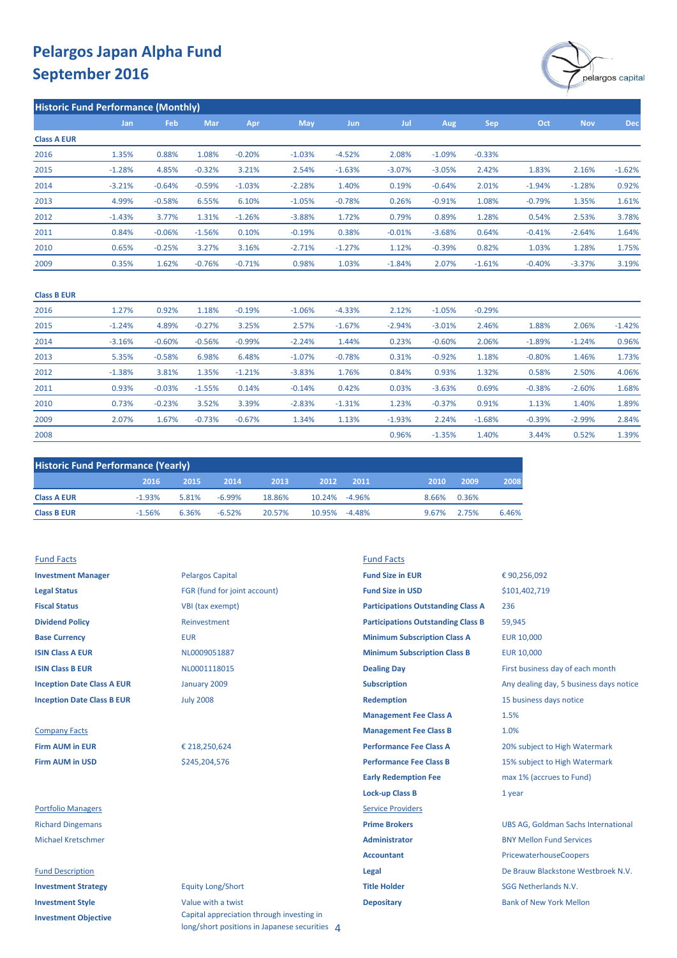

| <b>Historic Fund Performance (Monthly)</b> |          |          |          |          |            |            |          |            |            |          |            |            |
|--------------------------------------------|----------|----------|----------|----------|------------|------------|----------|------------|------------|----------|------------|------------|
|                                            | Jan      | Feb      | Mar      | Apr      | <b>May</b> | <b>Jun</b> | Jul      | <b>Aug</b> | <b>Sep</b> | Oct      | <b>Nov</b> | <b>Dec</b> |
| <b>Class A EUR</b>                         |          |          |          |          |            |            |          |            |            |          |            |            |
| 2016                                       | 1.35%    | 0.88%    | 1.08%    | $-0.20%$ | $-1.03%$   | $-4.52%$   | 2.08%    | $-1.09%$   | $-0.33%$   |          |            |            |
| 2015                                       | $-1.28%$ | 4.85%    | $-0.32%$ | 3.21%    | 2.54%      | $-1.63%$   | $-3.07%$ | $-3.05%$   | 2.42%      | 1.83%    | 2.16%      | $-1.62%$   |
| 2014                                       | $-3.21%$ | $-0.64%$ | $-0.59%$ | $-1.03%$ | $-2.28%$   | 1.40%      | 0.19%    | $-0.64%$   | 2.01%      | $-1.94%$ | $-1.28%$   | 0.92%      |
| 2013                                       | 4.99%    | $-0.58%$ | 6.55%    | 6.10%    | $-1.05%$   | $-0.78%$   | 0.26%    | $-0.91%$   | 1.08%      | $-0.79%$ | 1.35%      | 1.61%      |
| 2012                                       | $-1.43%$ | 3.77%    | 1.31%    | $-1.26%$ | $-3.88%$   | 1.72%      | 0.79%    | 0.89%      | 1.28%      | 0.54%    | 2.53%      | 3.78%      |
| 2011                                       | 0.84%    | $-0.06%$ | $-1.56%$ | 0.10%    | $-0.19%$   | 0.38%      | $-0.01%$ | $-3.68%$   | 0.64%      | $-0.41%$ | $-2.64%$   | 1.64%      |
| 2010                                       | 0.65%    | $-0.25%$ | 3.27%    | 3.16%    | $-2.71%$   | $-1.27%$   | 1.12%    | $-0.39%$   | 0.82%      | 1.03%    | 1.28%      | 1.75%      |
| 2009                                       | 0.35%    | 1.62%    | $-0.76%$ | $-0.71%$ | 0.98%      | 1.03%      | $-1.84%$ | 2.07%      | $-1.61%$   | $-0.40%$ | $-3.37%$   | 3.19%      |
|                                            |          |          |          |          |            |            |          |            |            |          |            |            |

| <b>Class B EUR</b> |          |          |          |          |          |          |          |          |          |          |          |          |
|--------------------|----------|----------|----------|----------|----------|----------|----------|----------|----------|----------|----------|----------|
| 2016               | 1.27%    | 0.92%    | 1.18%    | $-0.19%$ | $-1.06%$ | $-4.33%$ | 2.12%    | $-1.05%$ | $-0.29%$ |          |          |          |
| 2015               | $-1.24%$ | 4.89%    | $-0.27%$ | 3.25%    | 2.57%    | $-1.67%$ | $-2.94%$ | $-3.01%$ | 2.46%    | 1.88%    | 2.06%    | $-1.42%$ |
| 2014               | $-3.16%$ | $-0.60%$ | $-0.56%$ | $-0.99%$ | $-2.24%$ | 1.44%    | 0.23%    | $-0.60%$ | 2.06%    | $-1.89%$ | $-1.24%$ | 0.96%    |
| 2013               | 5.35%    | $-0.58%$ | 6.98%    | 6.48%    | $-1.07%$ | $-0.78%$ | 0.31%    | $-0.92%$ | 1.18%    | $-0.80%$ | 1.46%    | 1.73%    |
| 2012               | $-1.38%$ | 3.81%    | 1.35%    | $-1.21%$ | $-3.83%$ | 1.76%    | 0.84%    | 0.93%    | 1.32%    | 0.58%    | 2.50%    | 4.06%    |
| 2011               | 0.93%    | $-0.03%$ | $-1.55%$ | 0.14%    | $-0.14%$ | 0.42%    | 0.03%    | $-3.63%$ | 0.69%    | $-0.38%$ | $-2.60%$ | 1.68%    |
| 2010               | 0.73%    | $-0.23%$ | 3.52%    | 3.39%    | $-2.83%$ | $-1.31%$ | 1.23%    | $-0.37%$ | 0.91%    | 1.13%    | 1.40%    | 1.89%    |
| 2009               | 2.07%    | 1.67%    | $-0.73%$ | $-0.67%$ | 1.34%    | 1.13%    | $-1.93%$ | 2.24%    | $-1.68%$ | $-0.39%$ | $-2.99%$ | 2.84%    |
| 2008               |          |          |          |          |          |          | 0.96%    | $-1.35%$ | 1.40%    | 3.44%    | 0.52%    | 1.39%    |

| <b>Historic Fund Performance (Yearly)</b> |          |       |           |        |               |       |       |       |       |
|-------------------------------------------|----------|-------|-----------|--------|---------------|-------|-------|-------|-------|
|                                           | 2016     | 2015  | 2014      | 2013   | 2012          | -2011 | 2010  | 2009  | 2008  |
| <b>Class A EUR</b>                        | $-1.93%$ | 5.81% | $-6.99\%$ | 18.86% | 10.24% -4.96% |       | 8.66% | 0.36% |       |
| <b>Class B EUR</b>                        | $-1.56%$ | 6.36% | $-6.52%$  | 20.57% | 10.95% -4.48% |       | 9.67% | 2.75% | 6.46% |

**Investment Objective**

| <b>Fund Facts</b>                 |                              | <b>Fund Facts</b>                         |                                            |
|-----------------------------------|------------------------------|-------------------------------------------|--------------------------------------------|
| <b>Investment Manager</b>         | <b>Pelargos Capital</b>      | <b>Fund Size in EUR</b>                   | €90,256,092                                |
| <b>Legal Status</b>               | FGR (fund for joint account) | <b>Fund Size in USD</b>                   | \$101,402,719                              |
| <b>Fiscal Status</b>              | VBI (tax exempt)             | <b>Participations Outstanding Class A</b> | 236                                        |
| <b>Dividend Policy</b>            | Reinvestment                 | <b>Participations Outstanding Class B</b> | 59,945                                     |
| <b>Base Currency</b>              | <b>EUR</b>                   | <b>Minimum Subscription Class A</b>       | <b>EUR 10,000</b>                          |
| <b>ISIN Class A EUR</b>           | NL0009051887                 | <b>Minimum Subscription Class B</b>       | <b>EUR 10,000</b>                          |
| <b>ISIN Class B EUR</b>           | NL0001118015                 | <b>Dealing Day</b>                        | First business day of each month           |
| <b>Inception Date Class A EUR</b> | January 2009                 | <b>Subscription</b>                       | Any dealing day, 5 business days notice    |
| <b>Inception Date Class B EUR</b> | <b>July 2008</b>             | <b>Redemption</b>                         | 15 business days notice                    |
|                                   |                              | <b>Management Fee Class A</b>             | 1.5%                                       |
| <b>Company Facts</b>              |                              | <b>Management Fee Class B</b>             | 1.0%                                       |
| <b>Firm AUM in EUR</b>            | € 218,250,624                | <b>Performance Fee Class A</b>            | 20% subject to High Watermark              |
| <b>Firm AUM in USD</b>            | \$245,204,576                | <b>Performance Fee Class B</b>            | 15% subject to High Watermark              |
|                                   |                              | <b>Early Redemption Fee</b>               | max 1% (accrues to Fund)                   |
|                                   |                              | <b>Lock-up Class B</b>                    | 1 year                                     |
| <b>Portfolio Managers</b>         |                              | <b>Service Providers</b>                  |                                            |
| <b>Richard Dingemans</b>          |                              | <b>Prime Brokers</b>                      | <b>UBS AG, Goldman Sachs International</b> |
| <b>Michael Kretschmer</b>         |                              | <b>Administrator</b>                      | <b>BNY Mellon Fund Services</b>            |
|                                   |                              | <b>Accountant</b>                         | PricewaterhouseCoopers                     |
| <b>Fund Description</b>           |                              | Legal                                     | De Brauw Blackstone Westbroek N.V.         |
| <b>Investment Strategy</b>        | <b>Equity Long/Short</b>     | <b>Title Holder</b>                       | <b>SGG Netherlands N.V.</b>                |
| <b>Investment Style</b>           | Value with a twist           | <b>Depositary</b>                         | <b>Bank of New York Mellon</b>             |

Capital appreciation through investing in long/short positions in Japanese securities 4